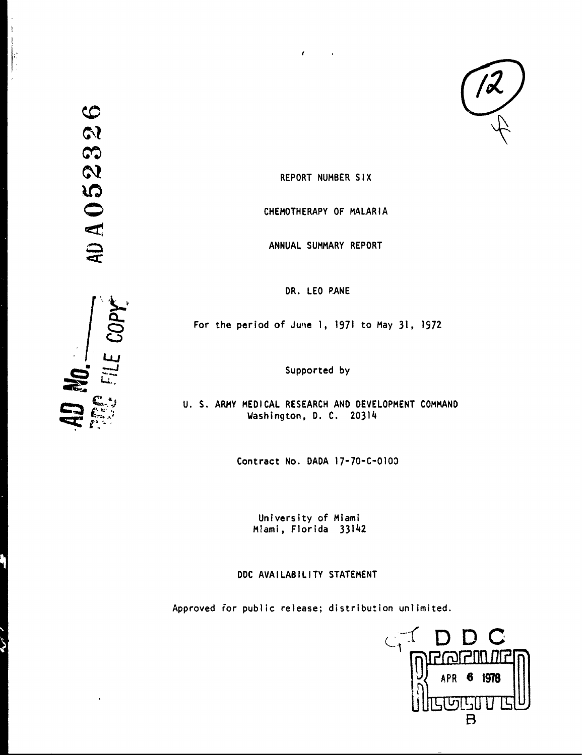

REPORT **NUMBER** SIX

 $\epsilon$ 

 $\overline{\phantom{a}}$ 

OCHEMOTHERAPY OF MALARIA

**ANNUAL** SUMMARY REPORT

DR. **LEO PANE**

For the period of June **1, 1971** to May **31, 1972**

**\_\_** Supported **by**

**U. S.** ARMY **MEDICAL** RESEARCH **AND DEVELOPMENT COMMAND** ' , Washington, **D. C.** 20314

Contract No. **DADA 17-70-C-O1OD**

University of Miami Miami, Florida 33142

**DOC** AVAILABILITY **STATEMENT**

Approved for public release; distribution unlimited.



 $\mathbfcal{O}$ 

 $\infty$ 

 $\overline{1}$ 

 $\begin{bmatrix} 1 \\ 1 \\ 2 \end{bmatrix}$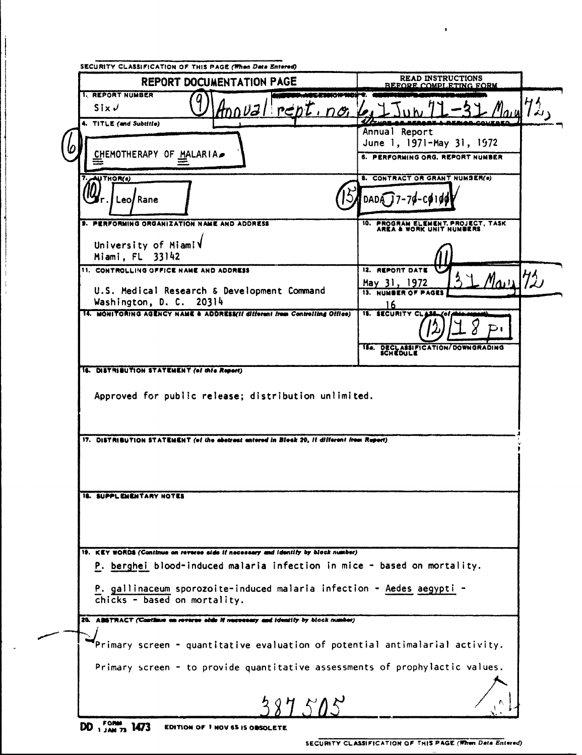**5ECURITY CLASSIFICATION OF THIS PAGE (When Data Entered)**<br> **REPORT DOCUMENTATION PAGE** BEFORE COMPLETING FORM REPORT DOCUMENTATION PAGE<br> **9**<br> *Annual*<br> *rel*  $72,$  $Six J$  $rept.n$ 4. TITLE (and Subtitle) Annual Report THE CHEMOTHERAPY OF MALARIA [ ICHEMOTHERAPY OF MALARIA, **6. PERFORMING OR. REPORT NUMBER AUTHOR(a) THE CONTRACT OR GRANT NUMBER(a) 3. CONTRACT OR GRANT NUMBER(a)**  $\blacksquare$ Leo/Rane **DamaGialian (1つ/I**DADAJ7-7d-cdidd **S. PERFORMING ORGANIZATION NAME AND ADDRESS 10. PROGRAM ELEMENT, PROJECT, TASK<br>AREA & WORK UNIT NUMBERS** University of Miami V **Miami,** FL 33142 **fl,- I\_\_ II. CONTROLLING OFFICE NAME AND ADDRESS <b>AND ADDRESS 12. REPONT DATE** גון  $\mathcal{V}_J$ **גינג** U.S. Medical Research & Development Command **... Adding the Music Press** Washington, D. C. 20314<br>MONITORING AGENCY NAME & ADORESS(*II different from Controlling Office*) | 15. SECURITY CLASS. **14. MONITORING AGENCY NAME & ADDRESS(If different from Controlling Office) 15a. DECLASSIFICATION/ DOWNGRADING 16. DISTRIBUTION STATEMENT (61t hIe** Ropeef) Approved for public release; distribution unlimited. **17. DISTRIBUTION STATEMENT (of lie abertea entered In Steek 20. It diferent treat Repert) It. SUPPLEMENTARY NOTES 19. KEY WORDS (Continue an reveree aides It necessay** *and* Idenitily **by bleek** number) P. berghei blood-induced malaria infection in mice -based on mortality. P. gallinaceum sporozoite-induced malaria infection - Aedes aegypti chicks **-** based on mortality. 20. ADSTRACT (Continue on reverse side if necessary and identity by black number) "Primary screen **-** quantitative evaluation of potential antimalarial activity. Primary screen **-** to provide quantitative assessments of prophylactic values.  $87505$ **DD**, **FORM**<br>**EDITION OF <sup>1</sup> NOV 65 IS OBSOLETE**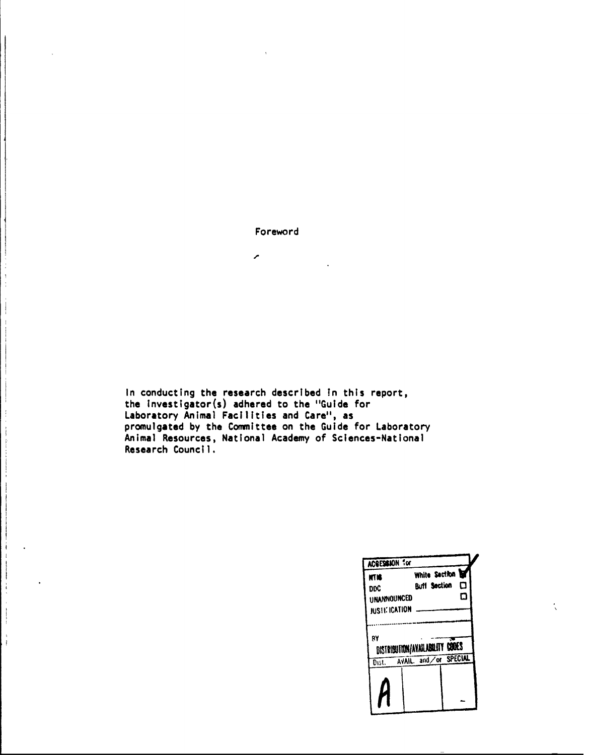Foreword

Ź

In conducting the research described !n this report, the investigator(s) adhered to the "Guide for Laboratory Animal Facilities and Care", as promulgated **by** the Committee on the Guide for Laboratory Animal Resources, National Academy of Sciences-National Research Council.

 $\frac{1}{4}$ 

| ACCESSION TO                                              |                                      |        |
|-----------------------------------------------------------|--------------------------------------|--------|
| <b>KTK</b><br>DDC<br>UNANNOUNCED<br><b>JUSTIC ICATION</b> | White Section<br><b>Buff Section</b> | О<br>О |
| R٧                                                        | DISTRIBUTION/AVAILABILITY COOES      |        |
| Dist.                                                     | AVAIL. and/or SPECIAL                |        |
|                                                           |                                      |        |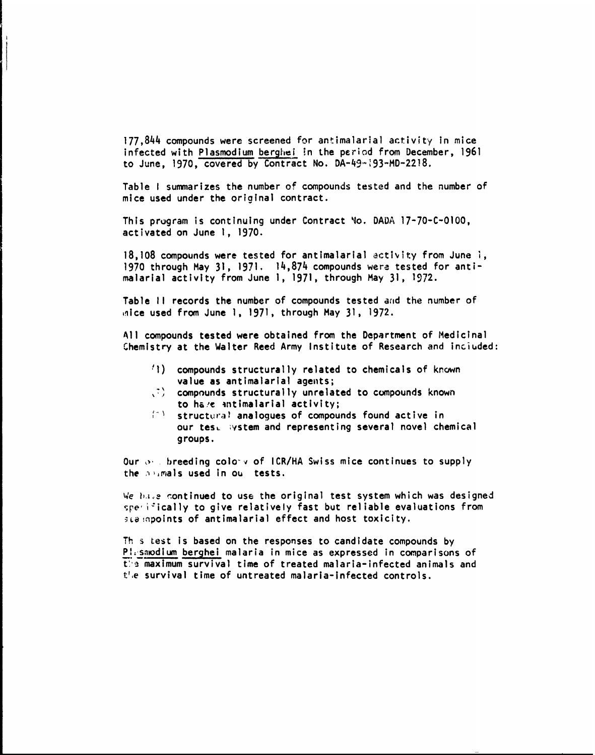177,844 compounds were screened for antimalarial activity in mice infected with Plasmodium berghei in the period from December, **1961** to June, **1970,** covered **by** Contract No. **DA-49-<93-MD-2218.**

Table **I** summarizes the number of compounds tested and the number of mice used under the original contract.

This program is continuing under Contract 4o. **DADA 17-70-C-O100,** activated on June **1, 1970.**

**18,108** compounds were tested for antimalarial activity from June **i, 1970** through May **31, 1971.** 14,874 compounds were tested for antimalarial activity from June **1, 1971,** through May **31, 1972.**

Table **II** records the number of compounds tested acid the number of nice used from June **1, 1971,** through May **31, 1972.**

**All** compounds tested were obtained from the Department of Medicinal Chemistry at the Walter Reed Army Institute of Research and inciuded:

- **'I)** compounds structurally related to chemicals of known value as antimalarial agents;
- *,* compounds structurally unrelated to compounds known to have antimalarial activity;
- (a) structural analogues of compounds found active in our test system and representing several novel chemical groups.

Our  $\infty$  breeding colo-v of ICR/HA Swiss mice continues to supply the .-,mals used in ou tests.

We that e-continued to use the original test system which was designed spetifically to give relatively fast but reliable evaluations from sta mpoints of antimalarial effect and host toxicity.

Th s test is based on the responses to candidate compounds **by** Plesmodium berghei malaria in mice as expressed in comparisons of **t 2'** maximum survival time of treated malaria-infected animals and  $t^{\dagger}$ e survival time of untreated malaria-infected controls.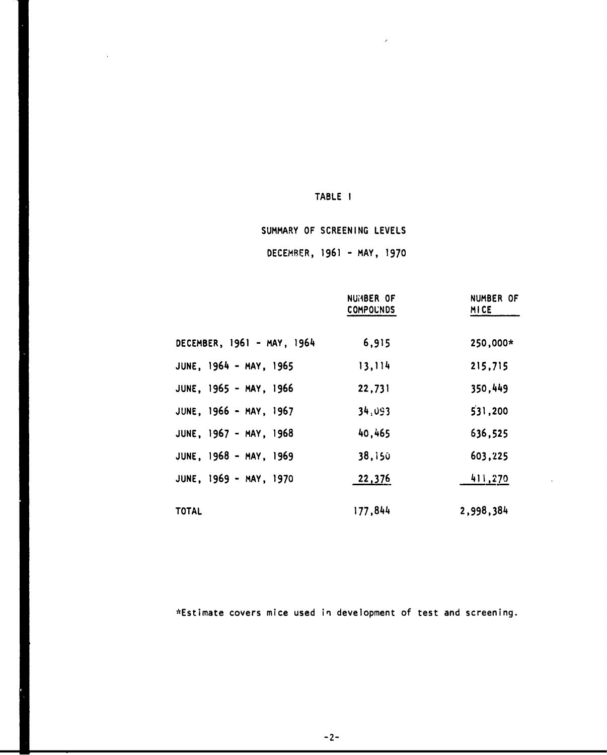## TABLE **I**

 $\bar{z}$ 

 $\hat{\mathcal{L}}$ 

SUMMARY OF **SCREENING LEVELS**

DECEMBER, **1961** - MAY, **1970**

|                            | NUMBER OF<br><b>COMPOUNDS</b> | NUMBER OF<br>MI CE |
|----------------------------|-------------------------------|--------------------|
| DECEMBER, 1961 - MAY, 1964 | 6,915                         | 250,000*           |
| JUNE, 1964 - MAY, 1965     | 13,114                        | 215,715            |
| JUNE, 1965 - MAY, 1966     | 22,731                        | 350,449            |
| JUNE, 1966 - MAY, 1967     | 34.093                        | 531,200            |
| JUNE, 1967 - MAY, 1968     | 40,465                        | 636,525            |
| JUNE, 1968 - MAY, 1969     | 38,150                        | 603,225            |
| JUNE, 1969 - MAY, 1970     | 22,376                        | 411,270            |
| <b>TOTAL</b>               | 177.844                       | 2,998,384          |

\*Estimate covers mice used **in** development of test and screening.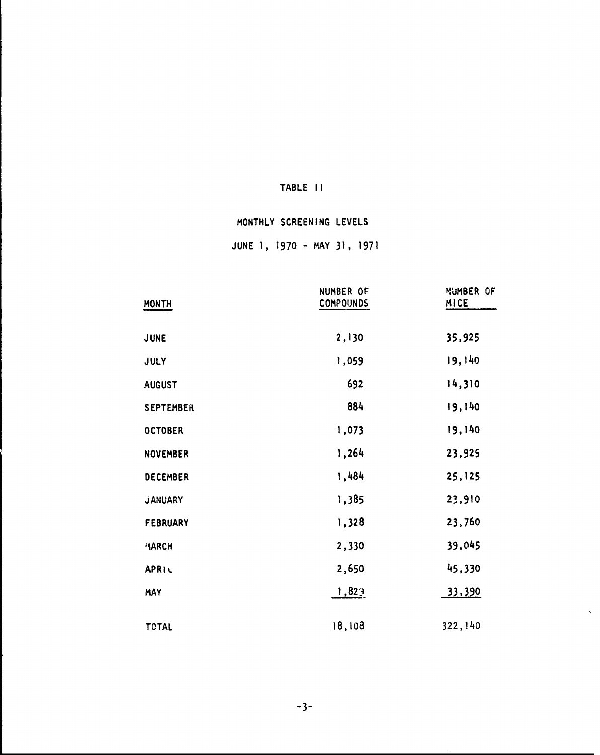## TABLE **II**

## MONTHLY **SCREENING LEVELS**

**JUNE 1, 1970** - MAY **31, 1971**

| <b>MONTH</b>    | NUMBER OF<br><b>COMPOUNDS</b> | NUMBER OF<br><b>MICE</b> |
|-----------------|-------------------------------|--------------------------|
| <b>JUNE</b>     | 2,130                         | 35,925                   |
| <b>JULY</b>     | 1,059                         | 19,140                   |
| <b>AUGUST</b>   | 692                           | 14,310                   |
| SEPTEMBER       | 884                           | 19,140                   |
| <b>OCTOBER</b>  | 1,073                         | 19,140                   |
| <b>NOVEMBER</b> | 1,264                         | 23,925                   |
| <b>DECEMBER</b> | 1,484                         | 25,125                   |
| <b>JANUARY</b>  | 1,385                         | 23,910                   |
| <b>FEBRUARY</b> | 1,328                         | 23,760                   |
| <b>HARCH</b>    | 2,330                         | 39,045                   |
| <b>APRIL</b>    | 2,650                         | 45,330                   |
| <b>MAY</b>      | <u>1,829</u>                  | <u>33,390</u>            |
| <b>TOTAL</b>    | 18,108                        | 322,140                  |

 $\epsilon_{\rm r}$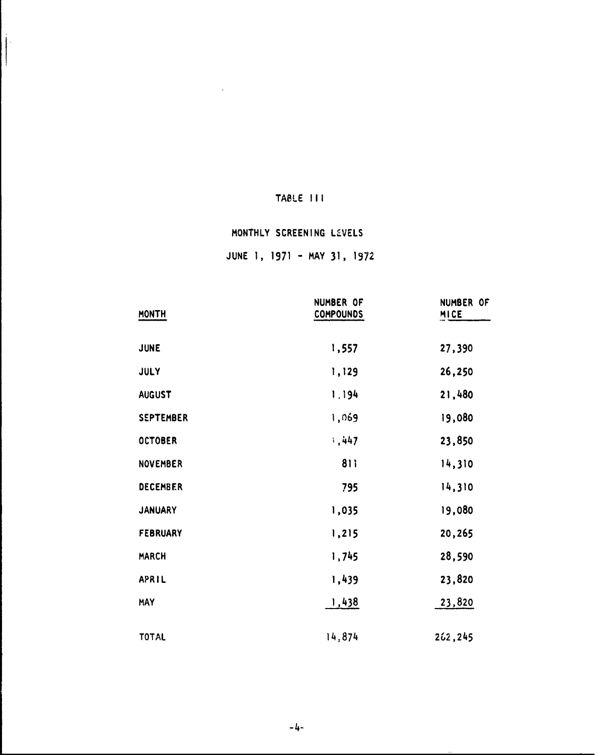## **TABLE II I**

 $\mathcal{L}(\mathcal{A})$  and  $\mathcal{L}(\mathcal{A})$ 

 $\frac{1}{2}$ 

## MONTHLY **SCREENING LEVELS**

# **JUNE 1,** 1971 **-** MAY **31, 1972**

| <b>MONTH</b>     | NUMBER OF<br><b>COMPOUNDS</b> | NUMBER OF<br><b>MICE</b> |
|------------------|-------------------------------|--------------------------|
| JUNE             | 1,557                         | 27,390                   |
| <b>JULY</b>      | 1,129                         | 26,250                   |
| <b>AUGUST</b>    | 1.194                         | 21,480                   |
| <b>SEPTEMBER</b> | 1,069                         | 19,080                   |
| <b>OCTOBER</b>   | :,447                         | 23,850                   |
| <b>NOVEMBER</b>  | 811                           | 14,310                   |
| <b>DECEMBER</b>  | 795                           | 14,310                   |
| <b>JANUARY</b>   | 1,035                         | 19,080                   |
| FEBRUARY         | 1,215                         | 20,265                   |
| <b>MARCH</b>     | 1,745                         | 28,590                   |
| APRIL            | 1,439                         | 23,820                   |
| <b>MAY</b>       | 1,438                         | 23,820                   |
| <b>TOTAL</b>     | 14,874                        | 262,245                  |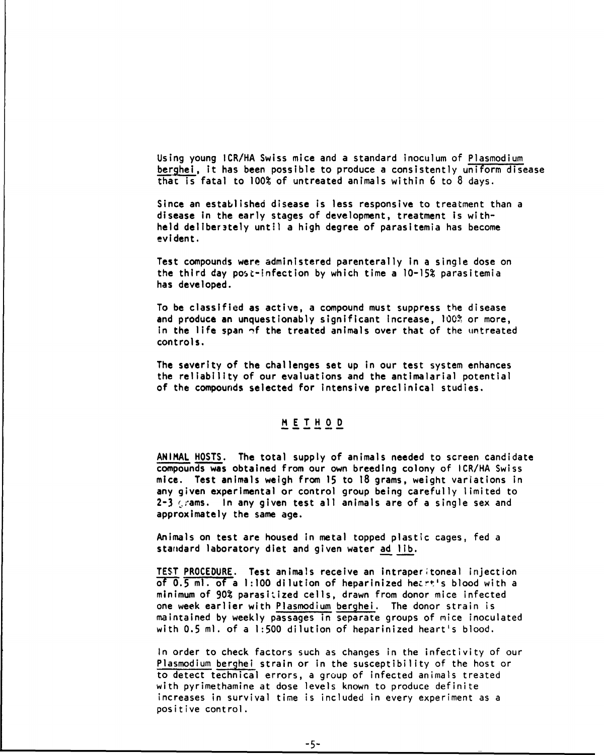Using young ICR/HA Swiss mice and a standard inoculum of Plasmodium berghei, it has been possible to produce a consistently uniform disease that is fatal to **100%** of untreated animals within **6** to **8** days.

Since an established disease is less responsive to treatment than a disease in the early stages of development, treatment is withheld dellber3tely until a high degree of parasitemia has become evident.

Test compounds were administered parenterally in a single dose on the third day post-infection **by** which time a **10-15%** parasitemia has developed.

To be classified as active, a compound must suppress the disease and produce an unquestionably significant increase,  $100\%$  or more, in the life span **-f** the treated animals over that of the untreated controls.

The severity of the challenges set up in our test system enhances the reliability of our evaluations and the antimalarial potential of the compounds selected for Intensive preclinical studies.

#### METHOD

**ANIMAL HOSTS.** The total supply of animals needed to screen candidate compounds was obtained from our own breeding colony of ICR/HA Swiss mice. Test animals weigh from **15** to **18** grams, weight variations in any given experimental or control group being carefully limited to **2-3** rams. In any given test all animals are of a single sex and approximately the same age.

Animals on test are housed in metal topped plastic cages, fed a standard laboratory diet and given water ad lib.

**TEST** PROCEDURE. Test animals receive an intraperitoneal injection **o-.5** ml. **of a 1:100** dilution of heparinized hecrt's blood with a minimum of **90%** parasitized cells, drawn from donor mice infected one week earlier with Plasmodium berghei. The donor strain is maintained **by** weekly passages in separate groups of mice inoculated with **0.5** ml. of a **1:500** dilution of heparinized heart's blood.

In order to check factors such as changes in the infectivity of our Plasmodium berghei strain or in the susceptibility of the host or to detect technical errors, a group of infected animals treated with pyrimethamine at dose levels known to produce definite increases in survival time is included in every experiment as a positive control.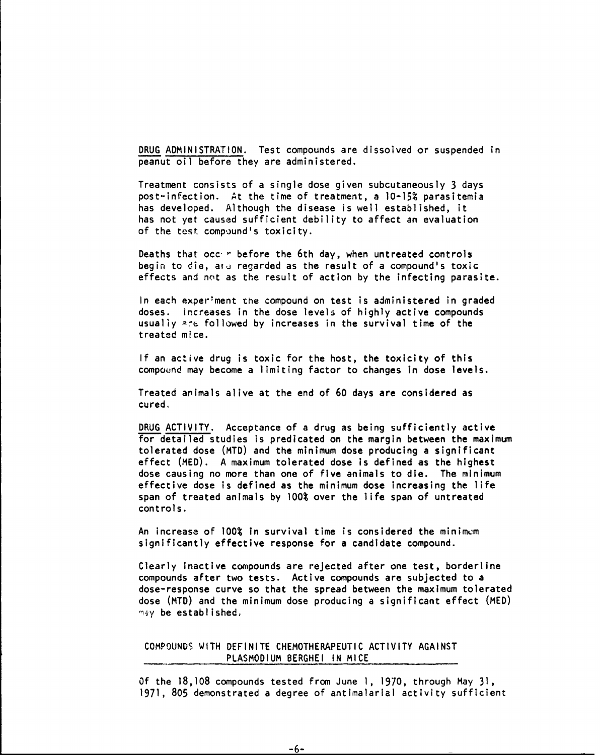**DRUG ADMINISTRATION.** Test compounds are dissolved or suspended in peanut oil before they are administered.

Treatment consists of a single dose given subcutaneously 3 days post-infection. At the time of treatment, a **10-15%** parasitemia has developed. Although the disease is well established, it has not yet caused sufficient debility to affect an evaluation of the test compound's toxicity.

Deaths that  $occ \rightharpoonup before$  the 6th day, when untreated controls begin to die, aru regarded as the result of a compound's toxic effects and not as the result of action by the infecting parasite.

In each experiment the compound on test is administered in graded doses. Increases in the dose levels of **highly** active compounds usually m followed **by** increases in the survival time of the treated mice.

**If** an active drug is toxic for the host, the toxicity of this compound may become a limiting factor to changes in dose levels.

Treated animals alive at the end of 60 days are considered as cured.

DRUG ACTIVITY. Acceptance of a drug as being sufficiently active for detailed studies is predicated on the margin between the maximum tolerated dose (MTD) and the minimum dose producing a significant effect (MED). A maximum tolerated dose is defined as the highest dose causing no more than one of five animals to die. The minimum effective dose is defined as the minimum dose increasing the life span of treated animals **by 100%** over the life span of untreated controls.

An increase of **100%** in survival time is considered the minimcm significantly effective response for a candidate compound.

Clearly inactive compounds are rejected after one test, borderline compounds after two tests. Active compounds are subjected to a dose-response curve so that the spread between the maximum tolerated dose (MTD) and the minimum dose producing a significant effect (MED) **my** be established,

COMPOUNDS WITH **DEFINITE** CHEMOTHERAPEUTIC ACTIVITY AGAINST PLASMODIUM BERGHEI **IN MICE**

Of the 18,108 compounds tested from June **1,** 1970, through May 31, 1971, 805 demonstrated a degree of antimalarial activity sufficient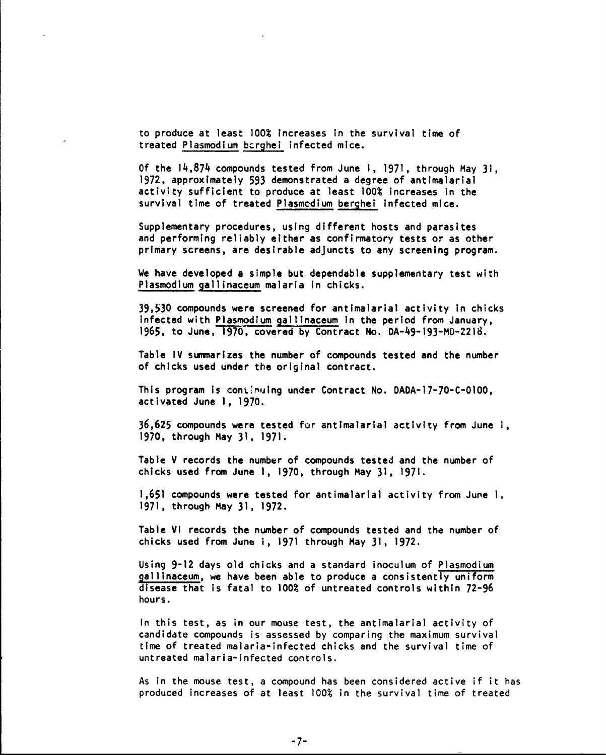to produce at least **100%** increases in the survival time of treated Plasmodium bcrghei infected mice.

**Of** the 14,874 compounds tested from June **1, 1971,** through May **31, 1972,** approximately **593** demonstrated a degree of antimalarial activity sufficient to produce at least **100%** increases in the survival time of treated Plasmedium berghei infected mice.

Supplementary procedures, using different hosts and parasites and performing reliably either as confirmatory tests or as other primary screens, are desirable adjuncts to any screening program.

We have developed a simple but dependable supplementary test with Plasmodlum gallinaceum malaria in chicks.

**39,530** compounds were screened for antimalarial activity in chicks infected with Plasmodium gallinaceum in the period from January, **1965,** to June, **1970, covered by** Contract No. DA-49-193-MO-2218.

Table IV summarizes the number of compounds tested and the number of chicks used under the original contract.

This program Is cont.nuing under Contract No. **DADA-17-70-C-OIO0,** activated June **1, 1970.**

**36,625** compounds were tested for antimalarial activity from June **1, 1970,** through May **31, 1971.**

Table V records the number of compounds tested and the number of chicks used from June **1, 1970,** through May **31, 1971.**

**1,651** compounds were tested for antimalarial activity from June **1, 1971,** through May **31, 1972.**

Table VI records the number of compounds tested and the number of chicks used from June 1, **1971** through May **31, 1972.**

Using **9-12** days old chicks and a standard inoculum of Plasmodium gallinaceum, we have been able to produce a consistently uniform disease that is fatal to **100%** of untreated controls within **72-96** hours.

In this test, as in our mouse test, the antimalarial activity of candidate compounds is assessed **by** comparing the maximum survival time of treated malaria-infected chicks and the survival time of untreated malaria-infected controls.

As in the mouse test, a compound has been considered active if it has produced increases of at least **100%** in the survival time of treated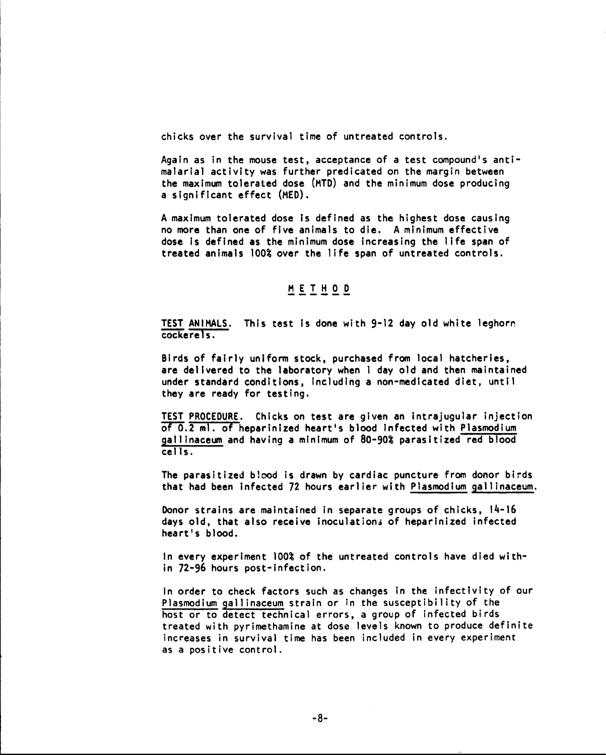chicks over the survival time of untreated controls.

Again as in the mouse test, acceptance of a test compound's antimalarial activity was further predicated on the margin between the maximum tolerated dose (MTD) and the minimum dose producing a significant effect (MED).

**A** maximum tolerated dose Is defined as the highest dose causing no more than one of five animals to die. **A** minimum effective dose is defined as the minimum dose increasing the life span of treated animals **100%** over the life span of untreated controls.

### METHOD

**TEST ANIMALS.** This test is done with **9-12** day old white leghorn **cockerels.**

Birds of fairly uniform stock, purchased from local hatcheries, are delivered to the laboratory when **I** day old and then maintained under standard conditions, including a non-medicated diet, until they are ready for testing.

**TEST** PROCEDURE. Chicks on test are given an intrajugular injection of 0.2 ml. of heparinized heart's blood infected with Plasmodium gallinaceum and having a minimum of **80-90%** parasitized red blood cells.

The parasitized blood is drawn **by** cardiac puncture from donor birds that had been Infected **72** hours earlier with Plasmodlum gallinaceum.

Donor strains are maintained in separate groups of chicks, 14-16 days old, that also receive inoculations of heparinized infected heart's blood.

In every experiment **100%** of the untreated controls have died within **72-96** hours post-infection.

In order to check factors such as changes in the infectivity of our Plasmodium gallinaceum strain or in the susceptibility of the host or to detect technical errors, a group of infected birds treated with pyrimethamine at dose levels known to produce definite increases in survival time has been included in every experiment as a positive control.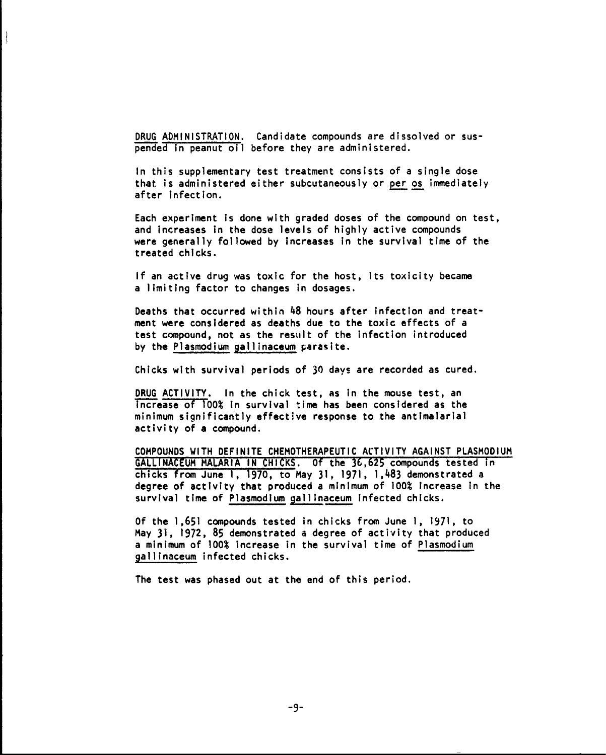**DRUG ADMINISTRATION.** Candidate compounds are dissolved or sus**pended** in peanut oil before they are administered.

In this supplementary test treatment consists of a single dose that is administered either subcutaneously or **per os** immediately after infection.

Each experiment is done with graded doses of the compound on test, and increases In the dose levels of **highly** active compounds were generally followed **by** increases in the survival time of the treated chicks.

**If** an active drug was toxic for the host, its toxicity became a limiting factor to changes in dosages.

Deaths that occurred within 48 hours after infection and treatment were considered as deaths due to the toxic effects of a test compound, not as the result of the Infection introduced **by** the Plasmodium galllnaceum parasite.

Chicks with survival periods **of 30** days are recorded as cured.

**DRUG** ACTIVITY. In the chick test, as in the mouse test, an Increase of 100% in survival time has been considered as the minimum significantly effective response to the antimalarial activity of a compound.

**COMPOUNDS** WITH **DEFINITE CHEMOTHERAPEUTIC** ACTIVITY **AGAINST PLASMODIUM GALLINACEUM MALARIA IN CHICKS. Of** the **36,625** compounds tested in **chicks** from **June 1, 1970, to May 31, 1971,** 1,483 demonstrated a degree of activity that produced a minimum of 100% increase in the survival time of Plasmodium gallinaceum infected chicks.

**Of** the **1,651** compounds tested in chicks from June **1, 1971,** to may 31, **1972, 85** demonstrated a degree of activity that produced a minimum of 100% increase in the survival time of Plasmodium gallinaceum infected chicks.

The test was phased out at the end of this period.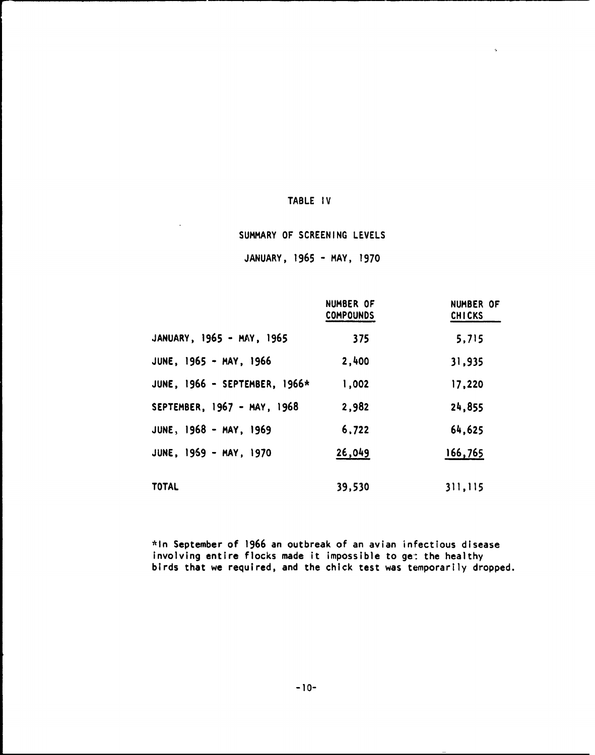#### **TABLE IV**

 $\mathcal{L}$ 

#### SUMMARY OF **SCREENING LEVELS**

**JANUARY, 1965 -** MAY, **1970**

|                               | NUMBER OF<br><b>COMPOUNDS</b> | NUMBER OF<br><b>CHICKS</b> |
|-------------------------------|-------------------------------|----------------------------|
| JANUARY, 1965 - MAY, 1965     | 375                           | 5,715                      |
| JUNE, 1965 - MAY, 1966        | 2,400                         | 31,935                     |
| JUNE, 1966 - SEPTEMBER, 1966* | 1,002                         | 17,220                     |
| SEPTEMBER, 1967 - MAY, 1968   | 2,982                         | 24,855                     |
| JUNE, 1968 - MAY, 1969        | 6,722                         | 64,625                     |
| JUNE, 1969 - MAY, 1970        | 26,049                        | 166,765                    |
| <b>TOTAL</b>                  | 39,530                        | 311,115                    |

\*In September of 1966 an outbreak of an avian infectious disease involving entire flocks made it impossible to **ge:** the healthy birds that we required, and the chick test was temporarily dropped.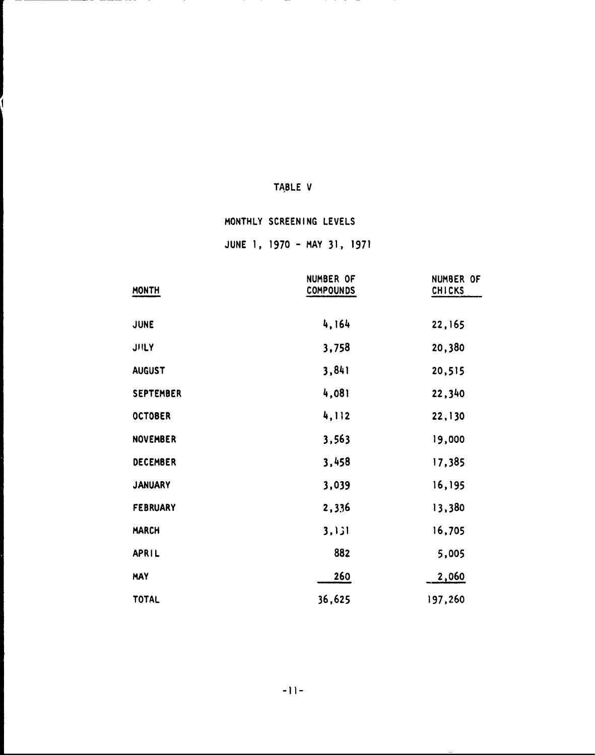## **TABLE** V

## MONTHLY **SCREENING LEVELS**

**JUNE 1, 1970** *-* MAY **31, 1971**

| <b>MONTH</b>     | NUMBER OF<br><b>COMPOUNDS</b> | NUMBER OF<br><b>CHICKS</b> |
|------------------|-------------------------------|----------------------------|
| JUNE             | 4,164                         | 22,165                     |
| <b>JHLY</b>      | 3,758                         | 20,380                     |
| <b>AUGUST</b>    | 3,841                         | 20,515                     |
| <b>SEPTEMBER</b> | 4,081                         | 22,340                     |
| <b>OCTOBER</b>   | 4,112                         | 22,130                     |
| <b>NOVEMBER</b>  | 3,563                         | 19,000                     |
| <b>DECEMBER</b>  | 3,458                         | 17,385                     |
| <b>JANUARY</b>   | 3,039                         | 16,195                     |
| <b>FEBRUARY</b>  | 2,336                         | 13,380                     |
| <b>MARCH</b>     | 3,131                         | 16,705                     |
| APRIL            | 882                           | 5,005                      |
| <b>MAY</b>       | 260                           | 2,060                      |
| <b>TOTAL</b>     | 36,625                        | 197,260                    |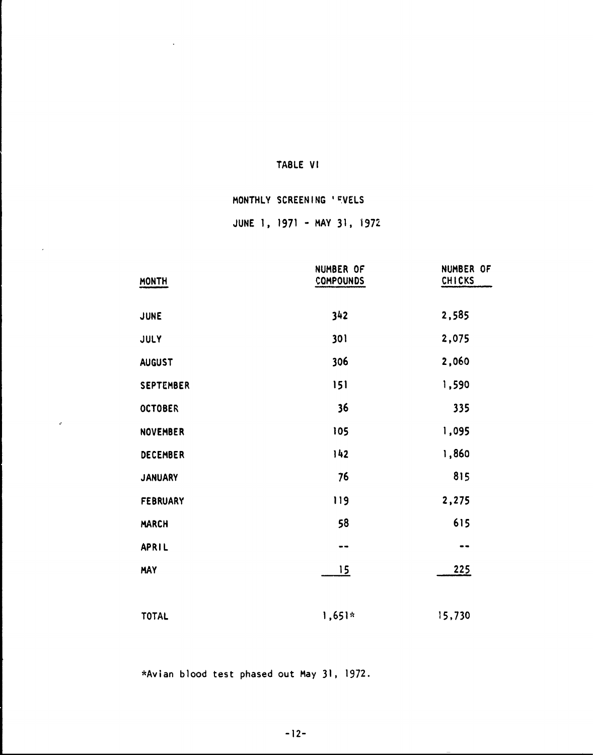## **TABLE** VI

 $\mathbb{Z}$ 

 $\bar{\mathbf{z}}$ 

 $\epsilon$ 

## MONTHLY **SCREENING 'FVELS**

**JUNE 1, 1971** - MAY **31, 1972**

| <b>MONTH</b>     | NUMBER OF<br><b>COMPOUNDS</b> | NUMBER OF<br><b>CHICKS</b> |
|------------------|-------------------------------|----------------------------|
| <b>JUNE</b>      | 342                           | 2,585                      |
| <b>JULY</b>      | 301                           | 2,075                      |
| <b>AUGUST</b>    | 306                           | 2,060                      |
| <b>SEPTEMBER</b> | 151                           | 1,590                      |
| <b>OCTOBER</b>   | 36                            | 335                        |
| NOVEMBER         | 105                           | 1,095                      |
| DECEMBER         | 142                           | 1,860                      |
| <b>JANUARY</b>   | 76                            | 815                        |
| <b>FEBRUARY</b>  | 119                           | 2,275                      |
| <b>MARCH</b>     | 58                            | 615                        |
| APRIL            | $- -$                         | --                         |
| <b>MAY</b>       | 15                            | 225                        |
| <b>TOTAL</b>     | 1,651*                        | 15,730                     |

\*Avian blood test phased out May **31, 1972.**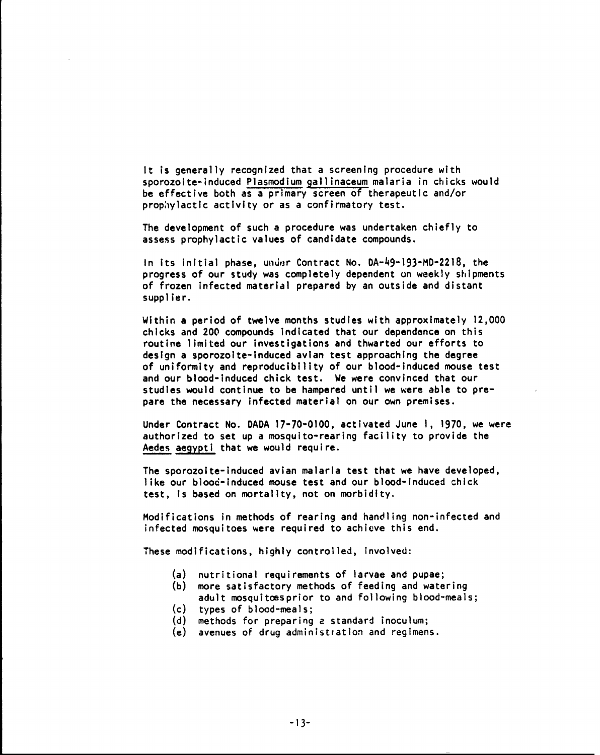It is generally recognized that a screening procedure with sporozoite-induced Plasmodium gallinaceum malaria in chicks would be effective both as a primary screen of therapeutic and/or prophylactic activity or as a confirmatory test.

The development of such a procedure was undertaken chiefly to assess prophylactic values of candidate compounds.

In its initial phase, under Contract No. DA-49-193-MD-2218, the progress of our study was completely dependent on weekly shipments of frozen infected material prepared by an outside and distant supplier.

Within a period of twelve months studies with approximately 12,000 chicks and 200 compounds Indicated that our dependence on this routine limited our investigations and thwarted our efforts to design a sporozoite-induced avian test approaching the degree of uniformity and reproducibility of our blood-induced mouse test and our blood-induced chick test. We were convinced that our studies would continue to be hampered until we were able to prepare the necessary infected material on our own premises.

Under Contract No. **DADA 17-70-0100,** activated June **1, 1970,** we were authorized to set up a mosquito-rearing facility to provide the Aedes aegypti that we would require.

The sporozoite-induced avian malaria test that we have developed, like our blood-induced mouse test and our blood-induced chick test, is based on mortality, not on morbidity.

Modifications in methods of rearing and handling non-infected and infected mosquitoes were required to achieve this end.

These modifications, **highly** controlled, involved:

- (a) nutritional requirements of larvae and pupae;
- **(b)** more satisfactory methods of feeding and watering
- adult mosquitoesprior to and following blood-meals; (c) types of blood-meals;
- (d) methods for preparing **a** standard inoculum;
- (e) avenues of drug administration and regimens.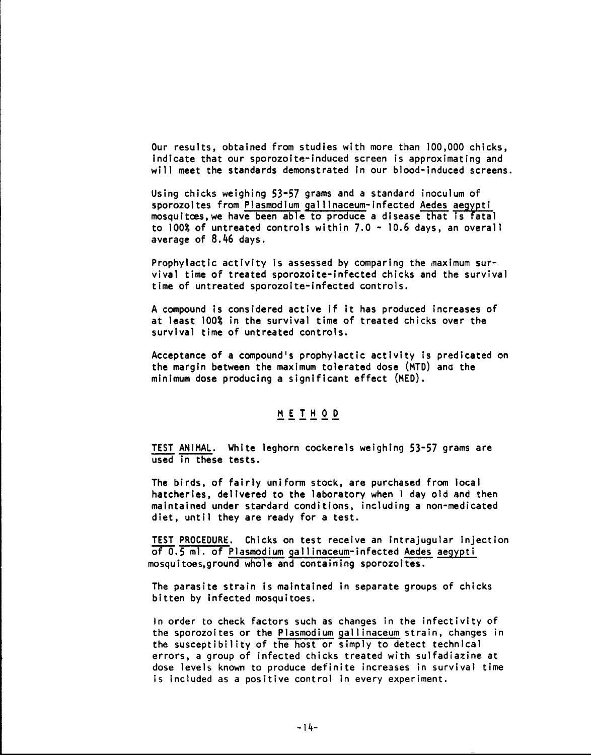Our results, obtained from studies with more than **100,000** chicks, indicate that our sporozoite-induced screen is approximating and will meet the standards demonstrated in our blood-induced screens.

Using chicks weighing 53-57 grams and a standard inoculum of sporozoites from Plasmodium gallinaceum-infected Aedes aegypti mosquitoes,we have been able to produce a disease that **is** fatal to 100% of untreated controls within 7.0 - 10.6 days, an overall average of 8.46 days.

Prophylactic activity is assessed **by** comparing the maximum survival time of treated sporozoite-infected chicks and the survival time of untreated sporozoite-infected controls.

A compound is considered active if It has produced increases of at least **100%** in the survival time of treated chicks over the survival time of untreated controls.

Acceptance of a compound's prophylactic activity is predicated on the margin between the maximum tolerated dose (MTD) ana the minimum dose producing a significant effect (MED).

#### METHOD

**TEST** ANIMAL. White leghorn cockerels weighing 53-57 grams are used in these tests.

The birds, of fairly uniform stock, are purchased from local hatcheries, delivered to the laboratory when **I** day old **and** then maintained under stardard conditions, including a non-medicated diet, until they are ready for a test.

**TEST** PROCEDURE. Chicks on test receive an intrajugular injection f0.5 ml. of Plasmodium ga1linaceum-infected Aedes aegypti mosquitoes,ground whole and containing sporozoites.

The parasite strain is maintained in separate groups of chicks bitten by infected mosquitoes.

In order to check factors such as changes in the infectivity of the sporozoites or the Plasmodium gallinaceum strain, changes in the susceptibility of the host or simply to detect technical errors, a group of infected chicks treated with sulfadiazine at dose levels known to produce definite increases in survival time is included as a positive control in every experiment.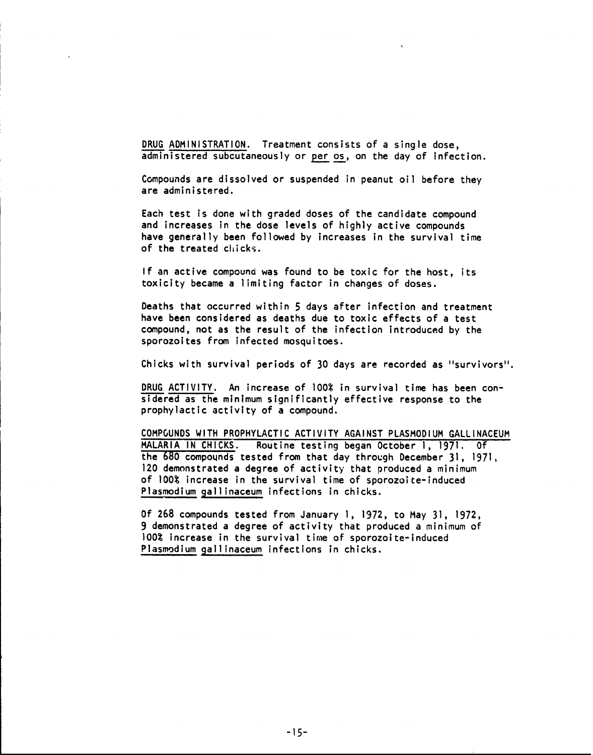**DRUG ADMINISTRATION.** Treatment consists of a single dose, administered subcutaneously or per os, on the day of infection.

Compounds are dissolved or suspended in peanut oil before they are administered.

Each test is done with graded doses of the candidate compound and increases in the dose levels of **highly** active compounds have generally been followed **by** increases in the survival time of the treated chick.

**If** an active compound was found to be toxic for the host, its toxicity became a limiting factor in changes of doses.

Deaths that occurred within **5** days after infection and treatment have been considered as deaths due to toxic effects of a test compound, not as the result of the infection introduced **by** the sporozoites from infected mosquitoes.

Chicks with survival periods **of 30** days are recorded as "survivors".

**DRUG** ACTIVITY. An increase of **100%** in survival time has been considered as the minimum significantly effective response to the prophylactic activity of a compound.

**COMPOUNDS** WITH PROPHYLACTIC ACTIVITY **AGAINST PLASMODIUM GALLINACEUM** MALARIA **IN CHICKS.** Routine testing began October **1, 1971. Of** the **680** compomnds tested from that day through December **31,** 1971, 120 demonstrated a degree of activity that produced a minimum of **100%** increase in the survival time of sporozoite-induced Plasmodium gallinaceum infections in chicks.

**Of 268** compounds tested from January **1, 1972,** to May **31, 1972, 9** demonstrated a degree of activity that produced a minimum of **100%** increase in the survival time of sporozoite-induced Plasmodium gallinaceum infections in chicks.